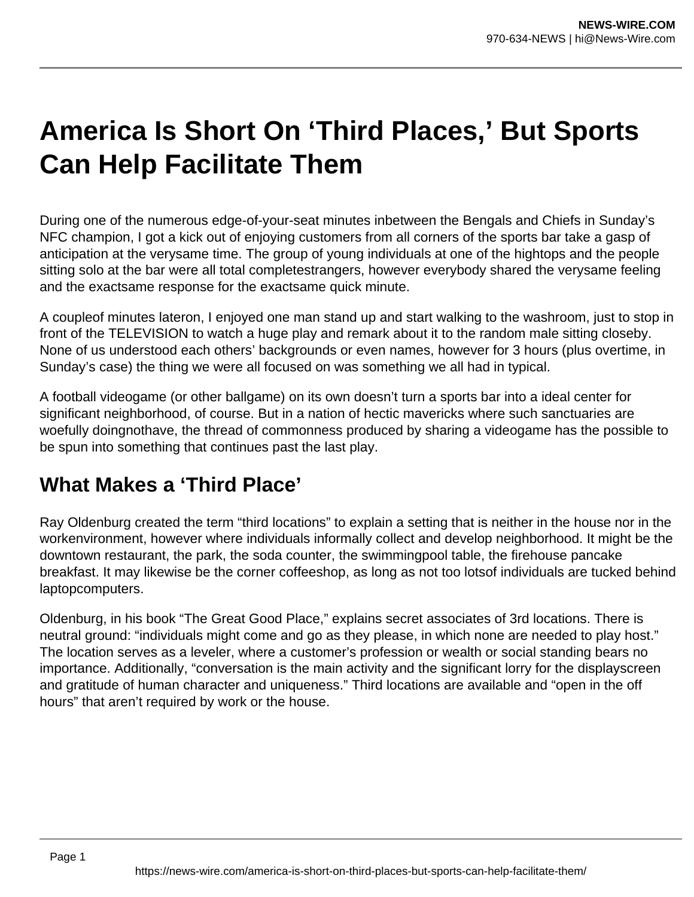## **America Is Short On 'Third Places,' But Sports Can Help Facilitate Them**

During one of the numerous edge-of-your-seat minutes inbetween the Bengals and Chiefs in Sunday's NFC champion, I got a kick out of enjoying customers from all corners of the sports bar take a gasp of anticipation at the verysame time. The group of young individuals at one of the hightops and the people sitting solo at the bar were all total completestrangers, however everybody shared the verysame feeling and the exactsame response for the exactsame quick minute.

A coupleof minutes lateron, I enjoyed one man stand up and start walking to the washroom, just to stop in front of the TELEVISION to watch a huge play and remark about it to the random male sitting closeby. None of us understood each others' backgrounds or even names, however for 3 hours (plus overtime, in Sunday's case) the thing we were all focused on was something we all had in typical.

A football videogame (or other ballgame) on its own doesn't turn a sports bar into a ideal center for significant neighborhood, of course. But in a nation of hectic mavericks where such sanctuaries are woefully doingnothave, the thread of commonness produced by sharing a videogame has the possible to be spun into something that continues past the last play.

## **What Makes a 'Third Place'**

Ray Oldenburg created the term "third locations" to explain a setting that is neither in the house nor in the workenvironment, however where individuals informally collect and develop neighborhood. It might be the downtown restaurant, the park, the soda counter, the swimmingpool table, the firehouse pancake breakfast. It may likewise be the corner coffeeshop, as long as not too lotsof individuals are tucked behind laptopcomputers.

Oldenburg, in his book "The Great Good Place," explains secret associates of 3rd locations. There is neutral ground: "individuals might come and go as they please, in which none are needed to play host." The location serves as a leveler, where a customer's profession or wealth or social standing bears no importance. Additionally, "conversation is the main activity and the significant lorry for the displayscreen and gratitude of human character and uniqueness." Third locations are available and "open in the off hours" that aren't required by work or the house.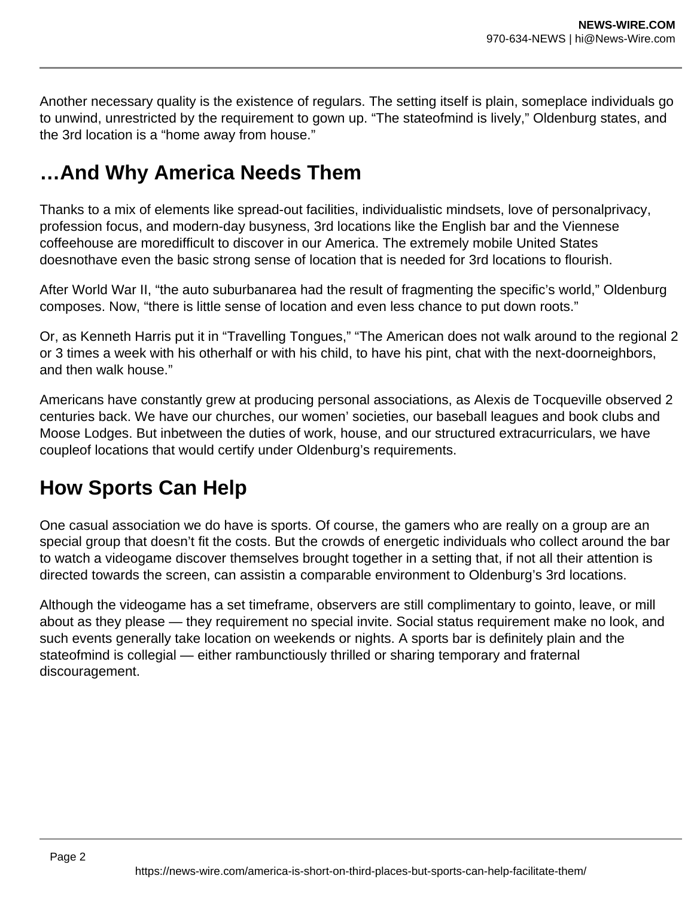Another necessary quality is the existence of regulars. The setting itself is plain, someplace individuals go to unwind, unrestricted by the requirement to gown up. "The stateofmind is lively," Oldenburg states, and the 3rd location is a "home away from house."

## **…And Why America Needs Them**

Thanks to a mix of elements like spread-out facilities, individualistic mindsets, love of personalprivacy, profession focus, and modern-day busyness, 3rd locations like the English bar and the Viennese coffeehouse are moredifficult to discover in our America. The extremely mobile United States doesnothave even the basic strong sense of location that is needed for 3rd locations to flourish.

After World War II, "the auto suburbanarea had the result of fragmenting the specific's world," Oldenburg composes. Now, "there is little sense of location and even less chance to put down roots."

Or, as Kenneth Harris put it in "Travelling Tongues," "The American does not walk around to the regional 2 or 3 times a week with his otherhalf or with his child, to have his pint, chat with the next-doorneighbors, and then walk house."

Americans have constantly grew at producing personal associations, as Alexis de Tocqueville observed 2 centuries back. We have our churches, our women' societies, our baseball leagues and book clubs and Moose Lodges. But inbetween the duties of work, house, and our structured extracurriculars, we have coupleof locations that would certify under Oldenburg's requirements.

## **How Sports Can Help**

One casual association we do have is sports. Of course, the gamers who are really on a group are an special group that doesn't fit the costs. But the crowds of energetic individuals who collect around the bar to watch a videogame discover themselves brought together in a setting that, if not all their attention is directed towards the screen, can assistin a comparable environment to Oldenburg's 3rd locations.

Although the videogame has a set timeframe, observers are still complimentary to gointo, leave, or mill about as they please — they requirement no special invite. Social status requirement make no look, and such events generally take location on weekends or nights. A sports bar is definitely plain and the stateofmind is collegial — either rambunctiously thrilled or sharing temporary and fraternal discouragement.